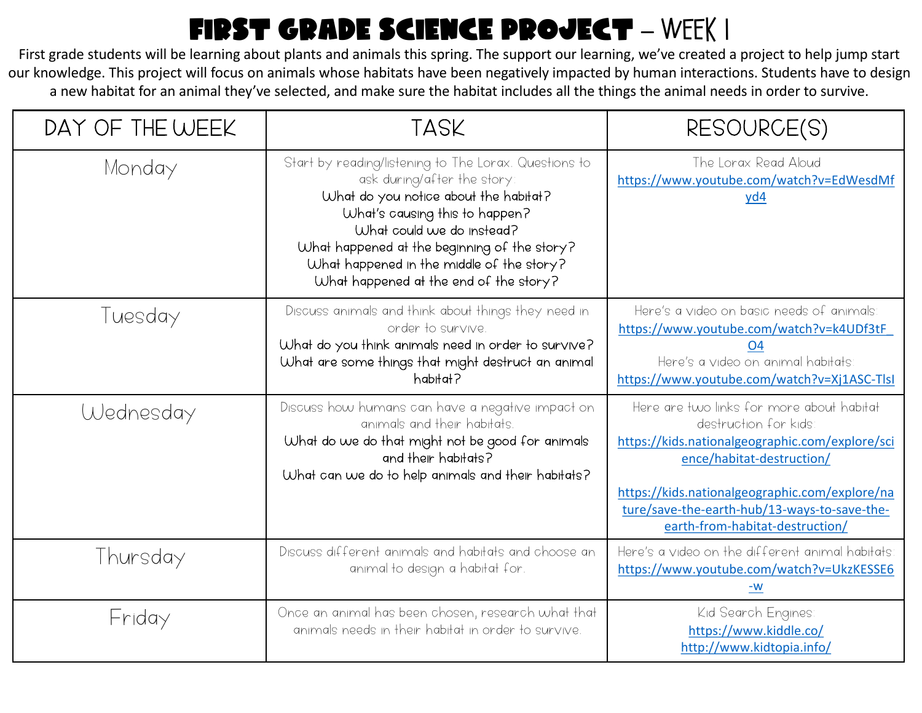## FIRST GRADE SCIENCE PROJECT - WEEK I

First grade students will be learning about plants and animals this spring. The support our learning, we've created a project to help jump start our knowledge. This project will focus on animals whose habitats have been negatively impacted by human interactions. Students have to design a new habitat for an animal they've selected, and make sure the habitat includes all the things the animal needs in order to survive.

| DAY OF THE WEEK | <b>TASK</b>                                                                                                                                                                                                                                                                                                                         | RESOURCE(S)                                                                                                                                                                                                                                                                            |  |
|-----------------|-------------------------------------------------------------------------------------------------------------------------------------------------------------------------------------------------------------------------------------------------------------------------------------------------------------------------------------|----------------------------------------------------------------------------------------------------------------------------------------------------------------------------------------------------------------------------------------------------------------------------------------|--|
| Monday          | Start by reading/listening to The Lorax. Questions to<br>ask during/after the story:<br>What do you notice about the habitat?<br>What's causing this to happen?<br>What could we do instead?<br>What happened at the beginning of the story?<br>What happened in the middle of the story?<br>What happened at the end of the story? | The Lorax Read Aloud<br>https://www.youtube.com/watch?v=EdWesdMf<br>yd4                                                                                                                                                                                                                |  |
| Tuesday         | Discuss animals and think about things they need in<br>order to survive.<br>What do you think animals need in order to survive?<br>What are some things that might destruct an animal<br>habitat?                                                                                                                                   | Here's a video on basic needs of animals:<br>https://www.youtube.com/watch?v=k4UDf3tF<br>O4<br>Here's a video on animal habitats<br>https://www.youtube.com/watch?v=Xj1ASC-Tlsl                                                                                                        |  |
| Wednesday       | Discuss how humans can have a negative impact on<br>animals and their habitats.<br>What do we do that might not be good for animals<br>and their habitats?<br>What can we do to help animals and their habitats?                                                                                                                    | Here are two links for more about habitat<br>destruction for kids<br>https://kids.nationalgeographic.com/explore/sci<br>ence/habitat-destruction/<br>https://kids.nationalgeographic.com/explore/na<br>ture/save-the-earth-hub/13-ways-to-save-the-<br>earth-from-habitat-destruction/ |  |
| Thursday        | Discuss different animals and habitats and choose an<br>animal to design a habitat for.                                                                                                                                                                                                                                             | Here's a video on the different animal habitats:<br>https://www.youtube.com/watch?v=UkzKESSE6<br>-W                                                                                                                                                                                    |  |
| Friday          | Once an animal has been chosen, research what that<br>animals needs in their habitat in order to survive.                                                                                                                                                                                                                           | Kid Search Engines<br>https://www.kiddle.co/<br>http://www.kidtopia.info/                                                                                                                                                                                                              |  |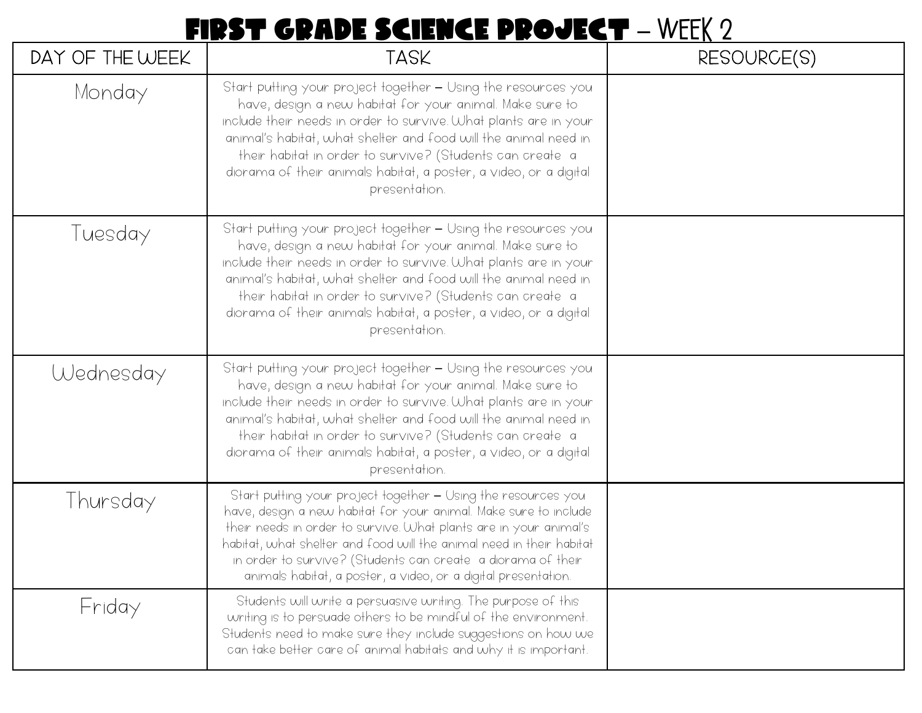## FIRST GRADE SCIENCE PROJECT - WEEK 2

| DAY OF THE WEEK | <b>TASK</b>                                                                                                                                                                                                                                                                                                                                                                                                         | RESOURCE(S) |  |
|-----------------|---------------------------------------------------------------------------------------------------------------------------------------------------------------------------------------------------------------------------------------------------------------------------------------------------------------------------------------------------------------------------------------------------------------------|-------------|--|
| Monday          | Start putting your project together - Using the resources you<br>have, design a new habitat for your animal. Make sure to<br>include their needs in order to survive. What plants are in your<br>animal's habitat, what shelter and food will the animal need in<br>their habitat in order to survive? (Students can create a<br>diorama of their animals habitat, a poster, a video, or a digital<br>presentation. |             |  |
| Tuesday         | Start putting your project together - Using the resources you<br>have, design a new habitat for your animal. Make sure to<br>include their needs in order to survive. What plants are in your<br>animal's habitat, what shelter and food will the animal need in<br>their habitat in order to survive? (Students can create a<br>diorama of their animals habitat, a poster, a video, or a digital<br>presentation. |             |  |
| Wednesday       | Start putting your project together — Using the resources you<br>have, design a new habitat for your animal. Make sure to<br>include their needs in order to survive. What plants are in your<br>animal's habitat, what shelter and food will the animal need in<br>their habitat in order to survive? (Students can create a<br>diorama of their animals habitat, a poster, a video, or a digital<br>presentation. |             |  |
| Thursday        | Start putting your project together - Using the resources you<br>have, design a new habitat for your animal. Make sure to include<br>their needs in order to survive. What plants are in your animal's<br>habitat, what shelter and food will the animal need in their habitat<br>in order to survive? (Students can create a diorama of their<br>animals habitat, a poster, a video, or a digital presentation.    |             |  |
| Friday          | Students will write a persuasive writing. The purpose of this<br>writing is to persuade others to be mindful of the environment.<br>Students need to make sure they include suggestions on how we<br>can take better care of animal habitats and why it is important.                                                                                                                                               |             |  |